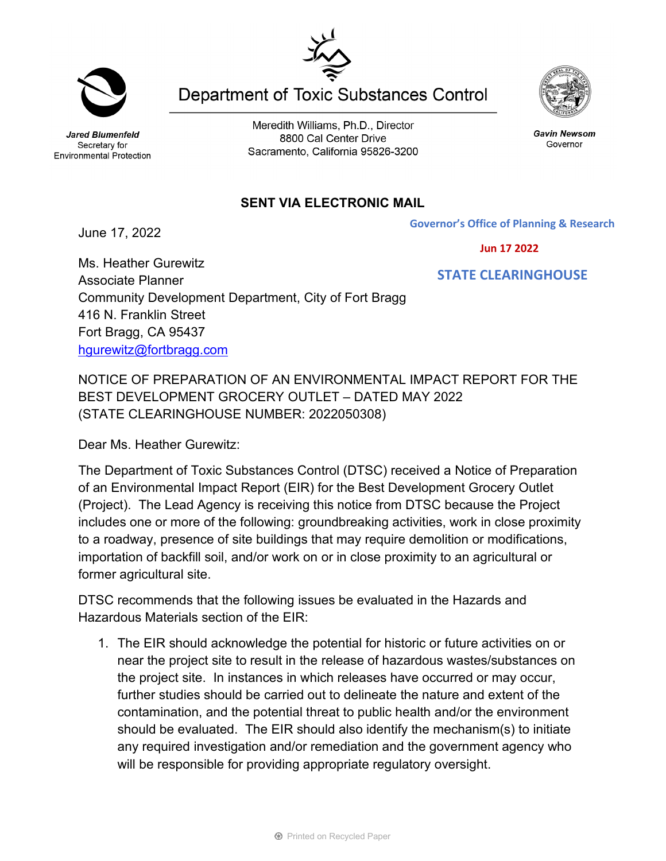Jared Blumenfeld Secretary for Environmental Protection

Meredith Williams, Ph.D., Director 8800 Cal Center Drive Sacramento, California 95826-3200

## **SENT VIA ELECTRONIC MAIL**

June 17, 2022

NOTICE OF PREPARATION OF AN ENVIRONMENTAL IMPACT REPORT FOR THE BEST DEVELOPMENT GROCERY OUTLET – DATED MAY 2022 (STATE CLEARINGHOUSE NUMBER: 2022050308)

Dear Ms. Heather Gurewitz:

The Department of Toxic Substances Control (DTSC) received a Notice of Preparation of an Environmental Impact Report (EIR) for the Best Development Grocery Outlet (Project). The Lead Agency is receiving this notice from DTSC because the Project includes one or more of the following: groundbreaking activities, work in close proximity to a roadway, presence of site buildings that may require demolition or modifications, importation of backfill soil, and/or work on or in close proximity to an agricultural or former agricultural site.

DTSC recommends that the following issues be evaluated in the Hazards and Hazardous Materials section of the EIR:

1. The EIR should acknowledge the potential for historic or future activities on or near the project site to result in the release of hazardous wastes/substances on the project site. In instances in which releases have occurred or may occur, further studies should be carried out to delineate the nature and extent of the contamination, and the potential threat to public health and/or the environment should be evaluated. The EIR should also identify the mechanism(s) to initiate any required investigation and/or remediation and the government agency who will be responsible for providing appropriate regulatory oversight.

**Department of Toxic Substances Control** 



Gavin Newsom Governor

 **Jun 17 2022**

 **STATE CLEARINGHOUSE**

Ms. Heather Gurewitz Associate Planner Community Development Department, City of Fort Bragg 416 N. Franklin Street Fort Bragg, CA 95437 [hgurewitz@fortbragg.com](mailto:hgurewitz@fortbragg.com)

**Governor's Office of Planning & Research**

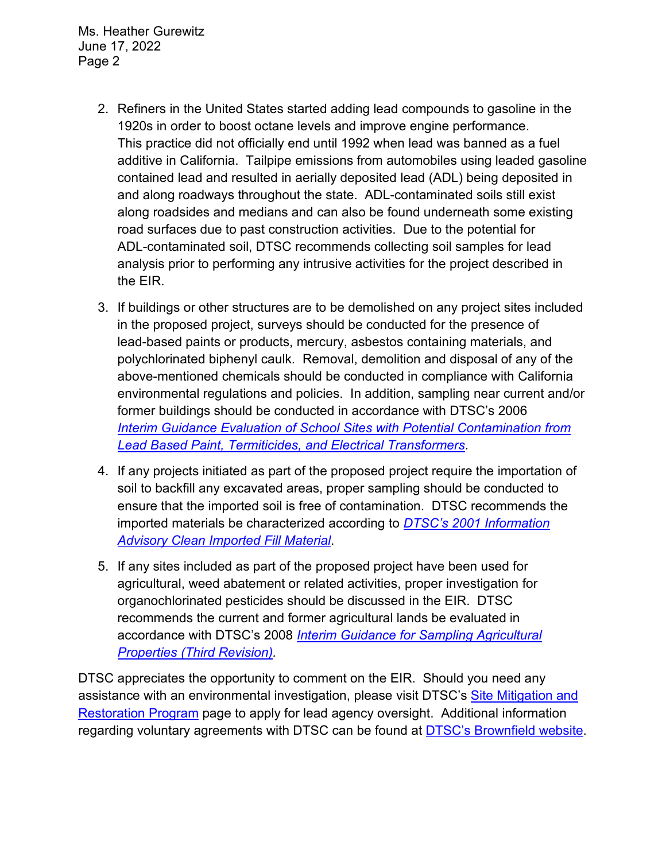Ms. Heather Gurewitz June 17, 2022 Page 2

- 2. Refiners in the United States started adding lead compounds to gasoline in the 1920s in order to boost octane levels and improve engine performance. This practice did not officially end until 1992 when lead was banned as a fuel additive in California. Tailpipe emissions from automobiles using leaded gasoline contained lead and resulted in aerially deposited lead (ADL) being deposited in and along roadways throughout the state. ADL-contaminated soils still exist along roadsides and medians and can also be found underneath some existing road surfaces due to past construction activities. Due to the potential for ADL-contaminated soil, DTSC recommends collecting soil samples for lead analysis prior to performing any intrusive activities for the project described in the EIR.
- 3. If buildings or other structures are to be demolished on any project sites included in the proposed project, surveys should be conducted for the presence of lead-based paints or products, mercury, asbestos containing materials, and polychlorinated biphenyl caulk. Removal, demolition and disposal of any of the above-mentioned chemicals should be conducted in compliance with California environmental regulations and policies. In addition, sampling near current and/or former buildings should be conducted in accordance with DTSC's 2006 *Interim [Guidance Evaluation of School Sites with Potential Contamination from](https://dtsc.ca.gov/2020/04/17/document-request/?wpf337186_14=https://dtsc.ca.gov/wpcontent/uploads/sites/31/2018/09/Guidance_Lead_%20%20Contamination_050118.pdf)  [Lead Based Paint, Termiticides, and Electrical Transformers](https://dtsc.ca.gov/2020/04/17/document-request/?wpf337186_14=https://dtsc.ca.gov/wpcontent/uploads/sites/31/2018/09/Guidance_Lead_%20%20Contamination_050118.pdf)*.
- 4. If any projects initiated as part of the proposed project require the importation of soil to backfill any excavated areas, proper sampling should be conducted to ensure that the imported soil is free of contamination. DTSC recommends the imported materials be characterized according to *[DTSC's 2001 Information](https://dtsc.ca.gov/wp-content/uploads/sites/31/2018/09/SMP_FS_Cleanfill-Schools.pdf)  [Advisory Clean Imported Fill Material](https://dtsc.ca.gov/wp-content/uploads/sites/31/2018/09/SMP_FS_Cleanfill-Schools.pdf)*.
- 5. If any sites included as part of the proposed project have been used for agricultural, weed abatement or related activities, proper investigation for organochlorinated pesticides should be discussed in the EIR. DTSC recommends the current and former agricultural lands be evaluated in accordance with DTSC's 2008 *[Interim Guidance for Sampling Agricultural](https://dtsc.ca.gov/wp-content/uploads/sites/31/2018/09/Ag-Guidance-Rev-3-August-7-2008-2.pdf)  [Properties \(Third Revision\).](https://dtsc.ca.gov/wp-content/uploads/sites/31/2018/09/Ag-Guidance-Rev-3-August-7-2008-2.pdf)*

DTSC appreciates the opportunity to comment on the EIR. Should you need any assistance with an environmental investigation, please visit DTSC's [Site Mitigation and](https://dtsc.ca.gov/brownfields/voluntary-agreements-quick-reference-guide/) [Restoration Program](https://dtsc.ca.gov/brownfields/voluntary-agreements-quick-reference-guide/) page to apply for lead agency oversight. Additional information regarding voluntary agreements with DTSC can be found at [DTSC's Brownfield website.](https://dtsc.ca.gov/brownfields/)